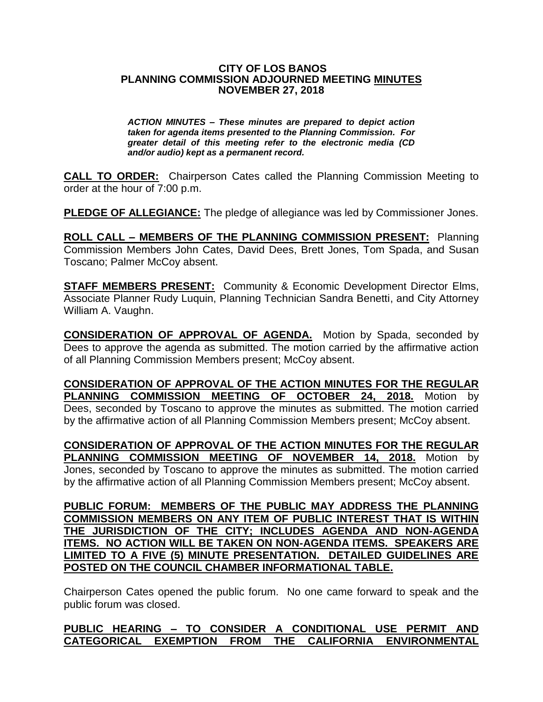## **CITY OF LOS BANOS PLANNING COMMISSION ADJOURNED MEETING MINUTES NOVEMBER 27, 2018**

*ACTION MINUTES – These minutes are prepared to depict action taken for agenda items presented to the Planning Commission. For greater detail of this meeting refer to the electronic media (CD and/or audio) kept as a permanent record.*

**CALL TO ORDER:** Chairperson Cates called the Planning Commission Meeting to order at the hour of 7:00 p.m.

**PLEDGE OF ALLEGIANCE:** The pledge of allegiance was led by Commissioner Jones.

**ROLL CALL – MEMBERS OF THE PLANNING COMMISSION PRESENT:** Planning Commission Members John Cates, David Dees, Brett Jones, Tom Spada, and Susan Toscano; Palmer McCoy absent.

**STAFF MEMBERS PRESENT:** Community & Economic Development Director Elms, Associate Planner Rudy Luquin, Planning Technician Sandra Benetti, and City Attorney William A. Vaughn.

**CONSIDERATION OF APPROVAL OF AGENDA.** Motion by Spada, seconded by Dees to approve the agenda as submitted. The motion carried by the affirmative action of all Planning Commission Members present; McCoy absent.

**CONSIDERATION OF APPROVAL OF THE ACTION MINUTES FOR THE REGULAR PLANNING COMMISSION MEETING OF OCTOBER 24, 2018.** Motion by Dees, seconded by Toscano to approve the minutes as submitted. The motion carried by the affirmative action of all Planning Commission Members present; McCoy absent.

**CONSIDERATION OF APPROVAL OF THE ACTION MINUTES FOR THE REGULAR PLANNING COMMISSION MEETING OF NOVEMBER 14, 2018.** Motion by Jones, seconded by Toscano to approve the minutes as submitted. The motion carried by the affirmative action of all Planning Commission Members present; McCoy absent.

**PUBLIC FORUM: MEMBERS OF THE PUBLIC MAY ADDRESS THE PLANNING COMMISSION MEMBERS ON ANY ITEM OF PUBLIC INTEREST THAT IS WITHIN THE JURISDICTION OF THE CITY; INCLUDES AGENDA AND NON-AGENDA ITEMS. NO ACTION WILL BE TAKEN ON NON-AGENDA ITEMS. SPEAKERS ARE LIMITED TO A FIVE (5) MINUTE PRESENTATION. DETAILED GUIDELINES ARE POSTED ON THE COUNCIL CHAMBER INFORMATIONAL TABLE.**

Chairperson Cates opened the public forum. No one came forward to speak and the public forum was closed.

## **PUBLIC HEARING – TO CONSIDER A CONDITIONAL USE PERMIT AND CATEGORICAL EXEMPTION FROM THE CALIFORNIA ENVIRONMENTAL**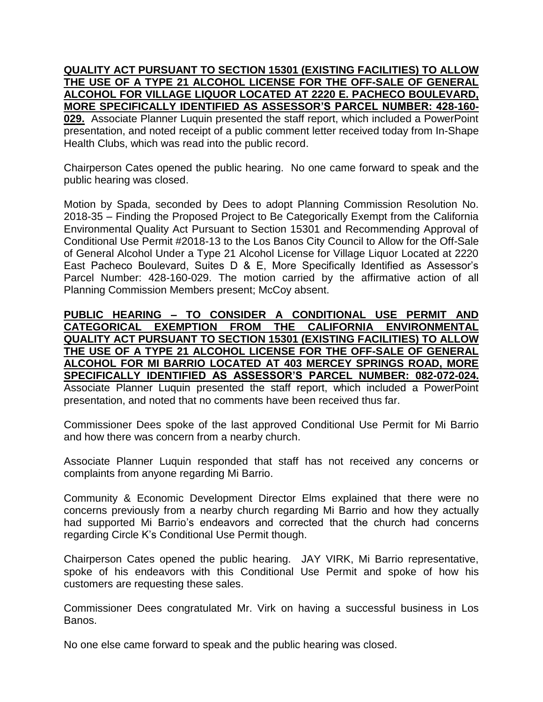**QUALITY ACT PURSUANT TO SECTION 15301 (EXISTING FACILITIES) TO ALLOW THE USE OF A TYPE 21 ALCOHOL LICENSE FOR THE OFF-SALE OF GENERAL ALCOHOL FOR VILLAGE LIQUOR LOCATED AT 2220 E. PACHECO BOULEVARD, MORE SPECIFICALLY IDENTIFIED AS ASSESSOR'S PARCEL NUMBER: 428-160- 029.** Associate Planner Luquin presented the staff report, which included a PowerPoint presentation, and noted receipt of a public comment letter received today from In-Shape Health Clubs, which was read into the public record.

Chairperson Cates opened the public hearing. No one came forward to speak and the public hearing was closed.

Motion by Spada, seconded by Dees to adopt Planning Commission Resolution No. 2018-35 – Finding the Proposed Project to Be Categorically Exempt from the California Environmental Quality Act Pursuant to Section 15301 and Recommending Approval of Conditional Use Permit #2018-13 to the Los Banos City Council to Allow for the Off-Sale of General Alcohol Under a Type 21 Alcohol License for Village Liquor Located at 2220 East Pacheco Boulevard, Suites D & E, More Specifically Identified as Assessor's Parcel Number: 428-160-029. The motion carried by the affirmative action of all Planning Commission Members present; McCoy absent.

**PUBLIC HEARING – TO CONSIDER A CONDITIONAL USE PERMIT AND CATEGORICAL EXEMPTION FROM THE CALIFORNIA ENVIRONMENTAL QUALITY ACT PURSUANT TO SECTION 15301 (EXISTING FACILITIES) TO ALLOW THE USE OF A TYPE 21 ALCOHOL LICENSE FOR THE OFF-SALE OF GENERAL ALCOHOL FOR MI BARRIO LOCATED AT 403 MERCEY SPRINGS ROAD, MORE SPECIFICALLY IDENTIFIED AS ASSESSOR'S PARCEL NUMBER: 082-072-024.** Associate Planner Luquin presented the staff report, which included a PowerPoint presentation, and noted that no comments have been received thus far.

Commissioner Dees spoke of the last approved Conditional Use Permit for Mi Barrio and how there was concern from a nearby church.

Associate Planner Luquin responded that staff has not received any concerns or complaints from anyone regarding Mi Barrio.

Community & Economic Development Director Elms explained that there were no concerns previously from a nearby church regarding Mi Barrio and how they actually had supported Mi Barrio's endeavors and corrected that the church had concerns regarding Circle K's Conditional Use Permit though.

Chairperson Cates opened the public hearing. JAY VIRK, Mi Barrio representative, spoke of his endeavors with this Conditional Use Permit and spoke of how his customers are requesting these sales.

Commissioner Dees congratulated Mr. Virk on having a successful business in Los Banos.

No one else came forward to speak and the public hearing was closed.